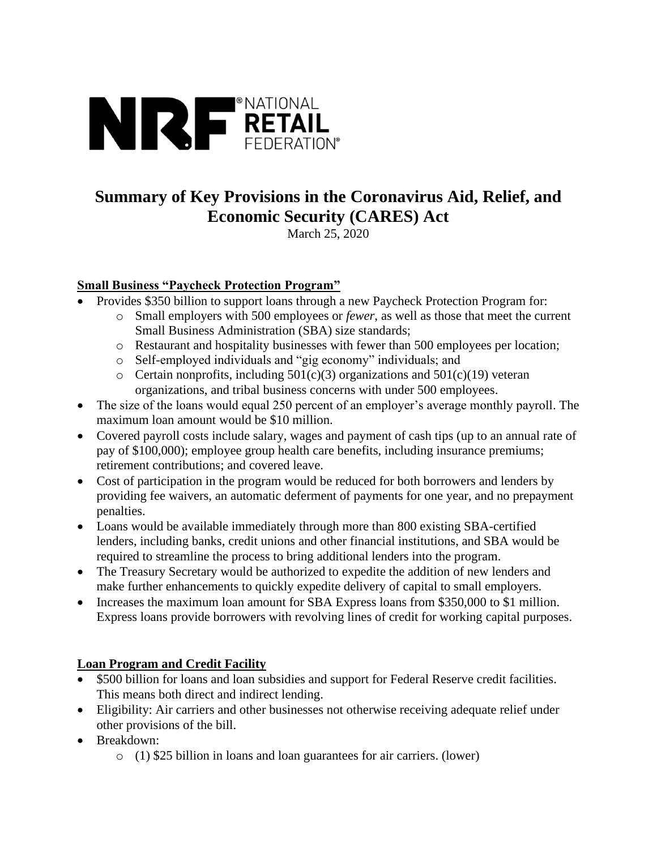

# **Summary of Key Provisions in the Coronavirus Aid, Relief, and Economic Security (CARES) Act**

March 25, 2020

# **Small Business "Paycheck Protection Program"**

- Provides \$350 billion to support loans through a new Paycheck Protection Program for:
	- o Small employers with 500 employees or *fewer*, as well as those that meet the current Small Business Administration (SBA) size standards;
	- o Restaurant and hospitality businesses with fewer than 500 employees per location;
	- o Self-employed individuals and "gig economy" individuals; and
	- $\circ$  Certain nonprofits, including 501(c)(3) organizations and 501(c)(19) veteran organizations, and tribal business concerns with under 500 employees.
- The size of the loans would equal 250 percent of an employer's average monthly payroll. The maximum loan amount would be \$10 million.
- Covered payroll costs include salary, wages and payment of cash tips (up to an annual rate of pay of \$100,000); employee group health care benefits, including insurance premiums; retirement contributions; and covered leave.
- Cost of participation in the program would be reduced for both borrowers and lenders by providing fee waivers, an automatic deferment of payments for one year, and no prepayment penalties.
- Loans would be available immediately through more than 800 existing SBA-certified lenders, including banks, credit unions and other financial institutions, and SBA would be required to streamline the process to bring additional lenders into the program.
- The Treasury Secretary would be authorized to expedite the addition of new lenders and make further enhancements to quickly expedite delivery of capital to small employers.
- Increases the maximum loan amount for SBA Express loans from \$350,000 to \$1 million. Express loans provide borrowers with revolving lines of credit for working capital purposes.

# **Loan Program and Credit Facility**

- \$500 billion for loans and loan subsidies and support for Federal Reserve credit facilities. This means both direct and indirect lending.
- Eligibility: Air carriers and other businesses not otherwise receiving adequate relief under other provisions of the bill.
- Breakdown:
	- o (1) \$25 billion in loans and loan guarantees for air carriers. (lower)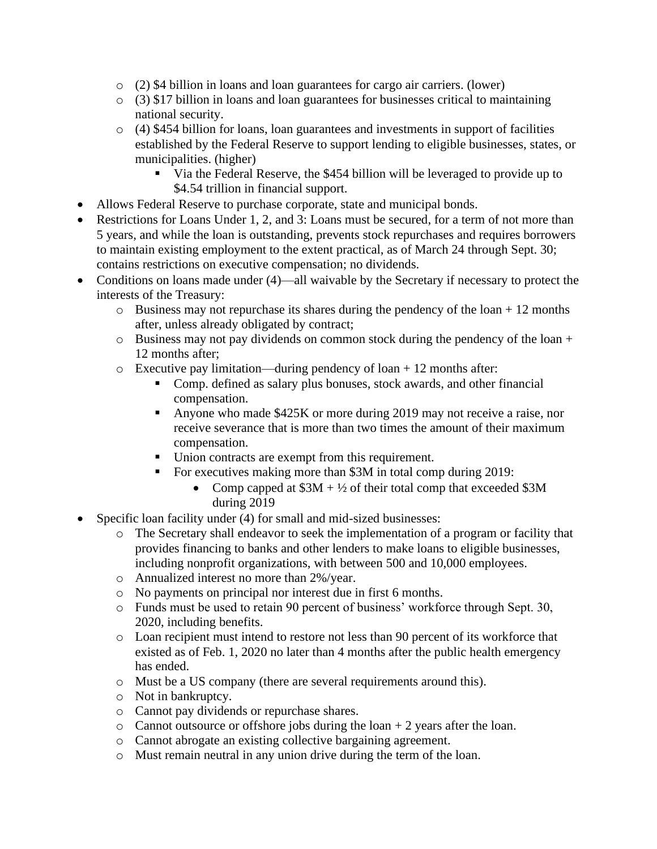- o (2) \$4 billion in loans and loan guarantees for cargo air carriers. (lower)
- o (3) \$17 billion in loans and loan guarantees for businesses critical to maintaining national security.
- o (4) \$454 billion for loans, loan guarantees and investments in support of facilities established by the Federal Reserve to support lending to eligible businesses, states, or municipalities. (higher)
	- Via the Federal Reserve, the \$454 billion will be leveraged to provide up to \$4.54 trillion in financial support.
- Allows Federal Reserve to purchase corporate, state and municipal bonds.
- Restrictions for Loans Under 1, 2, and 3: Loans must be secured, for a term of not more than 5 years, and while the loan is outstanding, prevents stock repurchases and requires borrowers to maintain existing employment to the extent practical, as of March 24 through Sept. 30; contains restrictions on executive compensation; no dividends.
- Conditions on loans made under (4)—all waivable by the Secretary if necessary to protect the interests of the Treasury:
	- $\circ$  Business may not repurchase its shares during the pendency of the loan + 12 months after, unless already obligated by contract;
	- o Business may not pay dividends on common stock during the pendency of the loan + 12 months after;
	- $\circ$  Executive pay limitation—during pendency of loan + 12 months after:
		- Comp. defined as salary plus bonuses, stock awards, and other financial compensation.
		- Anyone who made \$425K or more during 2019 may not receive a raise, nor receive severance that is more than two times the amount of their maximum compensation.
		- Union contracts are exempt from this requirement.
		- For executives making more than \$3M in total comp during 2019:
			- Comp capped at  $$3M + \frac{1}{2}$  of their total comp that exceeded \$3M during 2019
- Specific loan facility under (4) for small and mid-sized businesses:
	- o The Secretary shall endeavor to seek the implementation of a program or facility that provides financing to banks and other lenders to make loans to eligible businesses, including nonprofit organizations, with between 500 and 10,000 employees.
	- o Annualized interest no more than 2%/year.
	- o No payments on principal nor interest due in first 6 months.
	- o Funds must be used to retain 90 percent of business' workforce through Sept. 30, 2020, including benefits.
	- o Loan recipient must intend to restore not less than 90 percent of its workforce that existed as of Feb. 1, 2020 no later than 4 months after the public health emergency has ended.
	- o Must be a US company (there are several requirements around this).
	- o Not in bankruptcy.
	- o Cannot pay dividends or repurchase shares.
	- $\circ$  Cannot outsource or offshore jobs during the loan + 2 years after the loan.
	- o Cannot abrogate an existing collective bargaining agreement.
	- o Must remain neutral in any union drive during the term of the loan.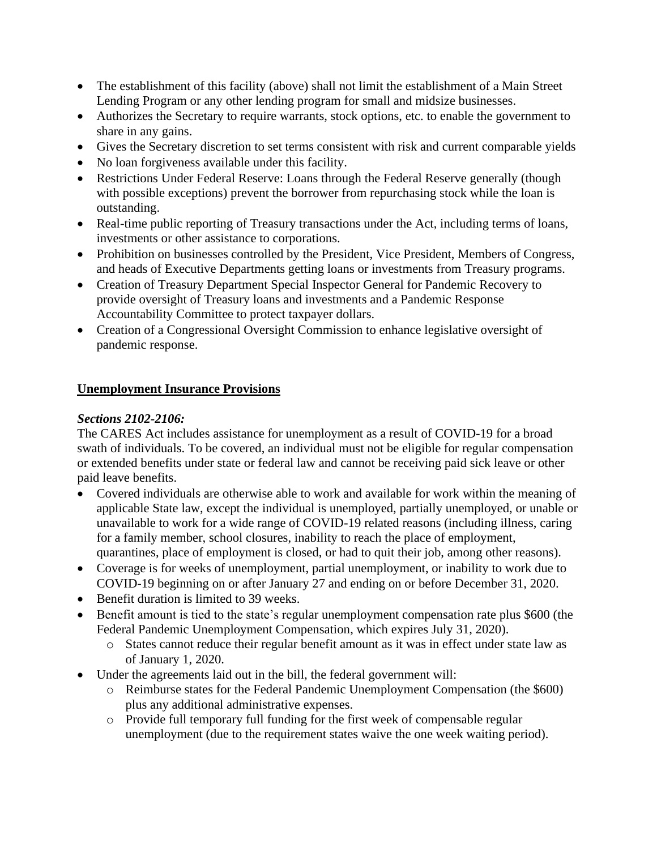- The establishment of this facility (above) shall not limit the establishment of a Main Street Lending Program or any other lending program for small and midsize businesses.
- Authorizes the Secretary to require warrants, stock options, etc. to enable the government to share in any gains.
- Gives the Secretary discretion to set terms consistent with risk and current comparable yields
- No loan forgiveness available under this facility.
- Restrictions Under Federal Reserve: Loans through the Federal Reserve generally (though with possible exceptions) prevent the borrower from repurchasing stock while the loan is outstanding.
- Real-time public reporting of Treasury transactions under the Act, including terms of loans, investments or other assistance to corporations.
- Prohibition on businesses controlled by the President, Vice President, Members of Congress, and heads of Executive Departments getting loans or investments from Treasury programs.
- Creation of Treasury Department Special Inspector General for Pandemic Recovery to provide oversight of Treasury loans and investments and a Pandemic Response Accountability Committee to protect taxpayer dollars.
- Creation of a Congressional Oversight Commission to enhance legislative oversight of pandemic response.

## **Unemployment Insurance Provisions**

#### *Sections 2102-2106:*

The CARES Act includes assistance for unemployment as a result of COVID-19 for a broad swath of individuals. To be covered, an individual must not be eligible for regular compensation or extended benefits under state or federal law and cannot be receiving paid sick leave or other paid leave benefits.

- Covered individuals are otherwise able to work and available for work within the meaning of applicable State law, except the individual is unemployed, partially unemployed, or unable or unavailable to work for a wide range of COVID-19 related reasons (including illness, caring for a family member, school closures, inability to reach the place of employment, quarantines, place of employment is closed, or had to quit their job, among other reasons).
- Coverage is for weeks of unemployment, partial unemployment, or inability to work due to COVID-19 beginning on or after January 27 and ending on or before December 31, 2020.
- Benefit duration is limited to 39 weeks.
- Benefit amount is tied to the state's regular unemployment compensation rate plus \$600 (the Federal Pandemic Unemployment Compensation, which expires July 31, 2020).
	- o States cannot reduce their regular benefit amount as it was in effect under state law as of January 1, 2020.
- Under the agreements laid out in the bill, the federal government will:
	- o Reimburse states for the Federal Pandemic Unemployment Compensation (the \$600) plus any additional administrative expenses.
	- o Provide full temporary full funding for the first week of compensable regular unemployment (due to the requirement states waive the one week waiting period).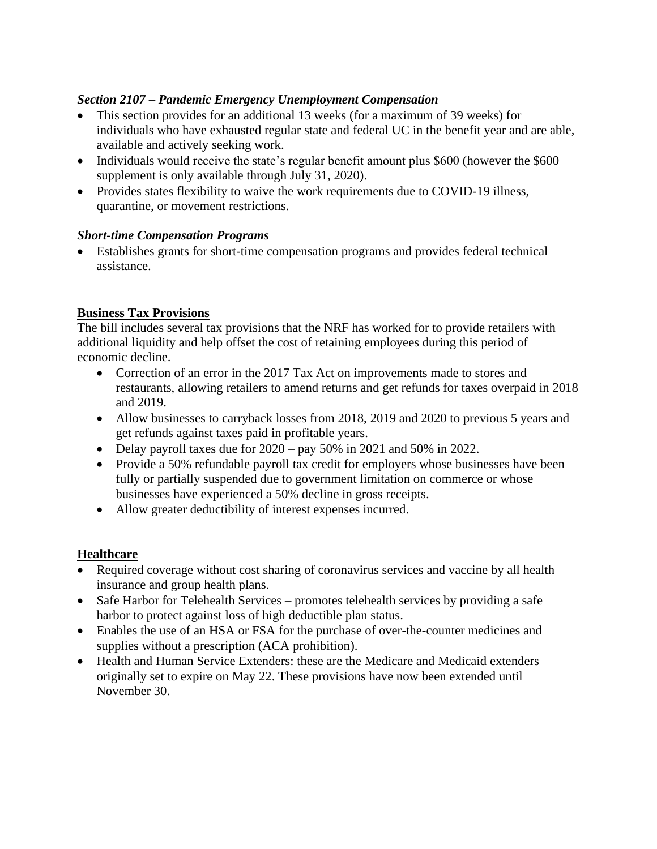#### *Section 2107 – Pandemic Emergency Unemployment Compensation*

- This section provides for an additional 13 weeks (for a maximum of 39 weeks) for individuals who have exhausted regular state and federal UC in the benefit year and are able, available and actively seeking work.
- Individuals would receive the state's regular benefit amount plus \$600 (however the \$600 supplement is only available through July 31, 2020).
- Provides states flexibility to waive the work requirements due to COVID-19 illness, quarantine, or movement restrictions.

## *Short-time Compensation Programs*

• Establishes grants for short-time compensation programs and provides federal technical assistance.

## **Business Tax Provisions**

The bill includes several tax provisions that the NRF has worked for to provide retailers with additional liquidity and help offset the cost of retaining employees during this period of economic decline.

- Correction of an error in the 2017 Tax Act on improvements made to stores and restaurants, allowing retailers to amend returns and get refunds for taxes overpaid in 2018 and 2019.
- Allow businesses to carryback losses from 2018, 2019 and 2020 to previous 5 years and get refunds against taxes paid in profitable years.
- Delay payroll taxes due for  $2020 \text{pay } 50\%$  in 2021 and 50% in 2022.
- Provide a 50% refundable payroll tax credit for employers whose businesses have been fully or partially suspended due to government limitation on commerce or whose businesses have experienced a 50% decline in gross receipts.
- Allow greater deductibility of interest expenses incurred.

#### **Healthcare**

- Required coverage without cost sharing of coronavirus services and vaccine by all health insurance and group health plans.
- Safe Harbor for Telehealth Services promotes telehealth services by providing a safe harbor to protect against loss of high deductible plan status.
- Enables the use of an HSA or FSA for the purchase of over-the-counter medicines and supplies without a prescription (ACA prohibition).
- Health and Human Service Extenders: these are the Medicare and Medicaid extenders originally set to expire on May 22. These provisions have now been extended until November 30.